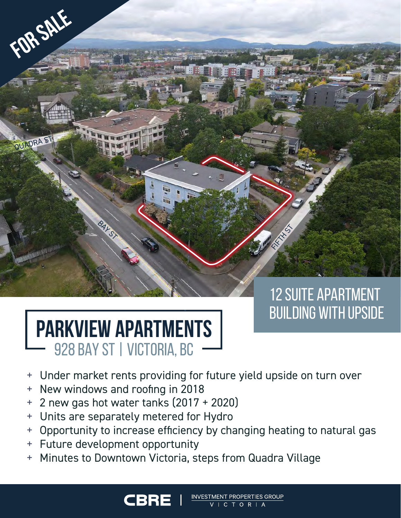# 12 Suite Apartment Building With Upside

FIFTH ST

# **PARKVIEW APARTMENTS** 928 BAY ST | VICTORIA, BC

**BAY ST** 

**For Sale**

QUADRA ST

- + Under market rents providing for future yield upside on turn over
- + New windows and roofing in 2018
- + 2 new gas hot water tanks (2017 + 2020)
- + Units are separately metered for Hydro

**CBRI** 

+ Opportunity to increase efficiency by changing heating to natural gas

VESTMENT PROPERTIES GROUP

**ICTORIA** 

- + Future development opportunity
- Minutes to Downtown Victoria, steps from Quadra Village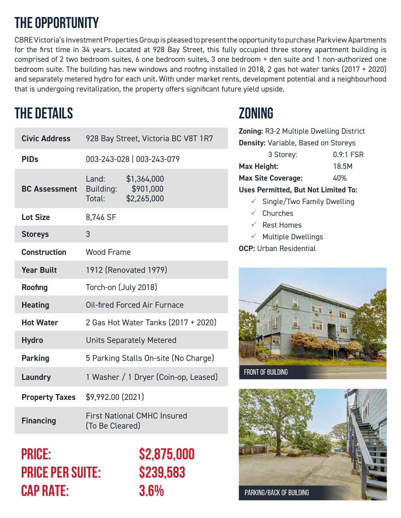## **The Opportunity**

CBRE Victoria's Investment Properties Group is pleased to present the opportunity to purchase Parkview Apartments for the first time in 34 years. Located at 928 Bay Street, this fully occupied three storey apartment building is comprised of 2 two bedroom suites, 6 one bedroom suites, 3 one bedroom + den suite and 1 non-authorized one bedroom suite. The building has new windows and roofing installed in 2018, 2 gas hot water tanks (2017 + 2020) and separately metered hydro for each unit. With under market rents, development potential and a neighbourhood that is undergoing revitalization, the property offers significant future yield upside.

## **The Details Zoning**

| <b>Civic Address</b>  | 928 Bay Street, Victoria BC V8T 1R7                   |                                         |  |  |  |
|-----------------------|-------------------------------------------------------|-----------------------------------------|--|--|--|
| <b>PIDs</b>           | 003-243-028   003-243-079                             |                                         |  |  |  |
| <b>BC Assessment</b>  | Land:<br><b>Building:</b><br>Total:                   | \$1,364,000<br>\$901,000<br>\$2,265,000 |  |  |  |
| <b>Lot Size</b>       | 8,746 SF                                              |                                         |  |  |  |
| <b>Storeys</b>        | 3                                                     |                                         |  |  |  |
| <b>Construction</b>   | <b>Wood Frame</b>                                     |                                         |  |  |  |
| <b>Year Built</b>     | 1912 (Renovated 1979)                                 |                                         |  |  |  |
| <b>Roofing</b>        | Torch-on (July 2018)                                  |                                         |  |  |  |
| <b>Heating</b>        | Oil-fired Forced Air Furnace                          |                                         |  |  |  |
| <b>Hot Water</b>      | 2 Gas Hot Water Tanks (2017 + 2020)                   |                                         |  |  |  |
| <b>Hydro</b>          | <b>Units Separately Metered</b>                       |                                         |  |  |  |
| <b>Parking</b>        | 5 Parking Stalls On-site (No Charge)                  |                                         |  |  |  |
| Laundry               | 1 Washer / 1 Dryer (Coin-op, Leased)                  |                                         |  |  |  |
| <b>Property Taxes</b> | \$9,992.00 (2021)                                     |                                         |  |  |  |
| <b>Financing</b>      | <b>First National CMHC Insured</b><br>(To Be Cleared) |                                         |  |  |  |

### **Price: \$2,875,000 Price Per Suite: \$239,583 CAP RATE: 3.6%**

**Zoning:** R3-2 Multiple Dwelling District **Density:** Variable, Based on Storeys 3 Storey: 0.9:1 FSR **Max Height:** 18.5M **Max Site Coverage:** 40% **Uses Permitted, But Not Limited To:**  $\checkmark$  Single/Two Family Dwelling

- $\checkmark$  Churches
- $\sqrt{\phantom{a}}$  Rest Homes
- $\times$  Multiple Dwellings
- **OCP:** Urban Residential



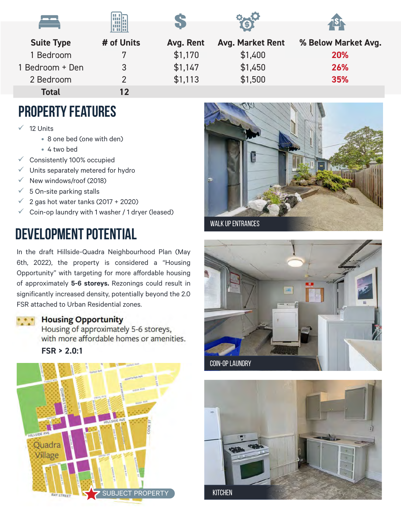|                   | HHM        | $\Box$    |                         |                     |
|-------------------|------------|-----------|-------------------------|---------------------|
| <b>Suite Type</b> | # of Units | Avg. Rent | <b>Avg. Market Rent</b> | % Below Market Avg. |
| Bedroom           | 7          | \$1,170   | \$1,400                 | 20%                 |
| 1 Bedroom + Den   | 3          | \$1,147   | \$1,450                 | 26%                 |
| 2 Bedroom         | າ          | \$1,113   | \$1,500                 | 35%                 |
| <b>Total</b>      | 12         |           |                         |                     |

#### **Property Features**

- 12 Units
	- 8 one bed (one with den)

ma-

- 4 two bed
- $\checkmark$  Consistently 100% occupied
- $\checkmark$  Units separately metered for hydro
- $\checkmark$  New windows/roof (2018)
- $\checkmark$  5 On-site parking stalls
- $\checkmark$  2 gas hot water tanks (2017 + 2020)
- $\checkmark$  Coin-op laundry with 1 washer / 1 dryer (leased)

### **Development Potential**

In the draft Hillside-Quadra Neighbourhood Plan (May 6th, 2022), the property is considered a "Housing Opportunity" with targeting for more affordable housing of approximately **5-6 storeys.** Rezonings could result in significantly increased density, potentially beyond the 2.0 FSR attached to Urban Residential zones.

#### **Housing Opportunity**

Housing of approximately 5-6 storeys, with more affordable homes or amenities.



. . .